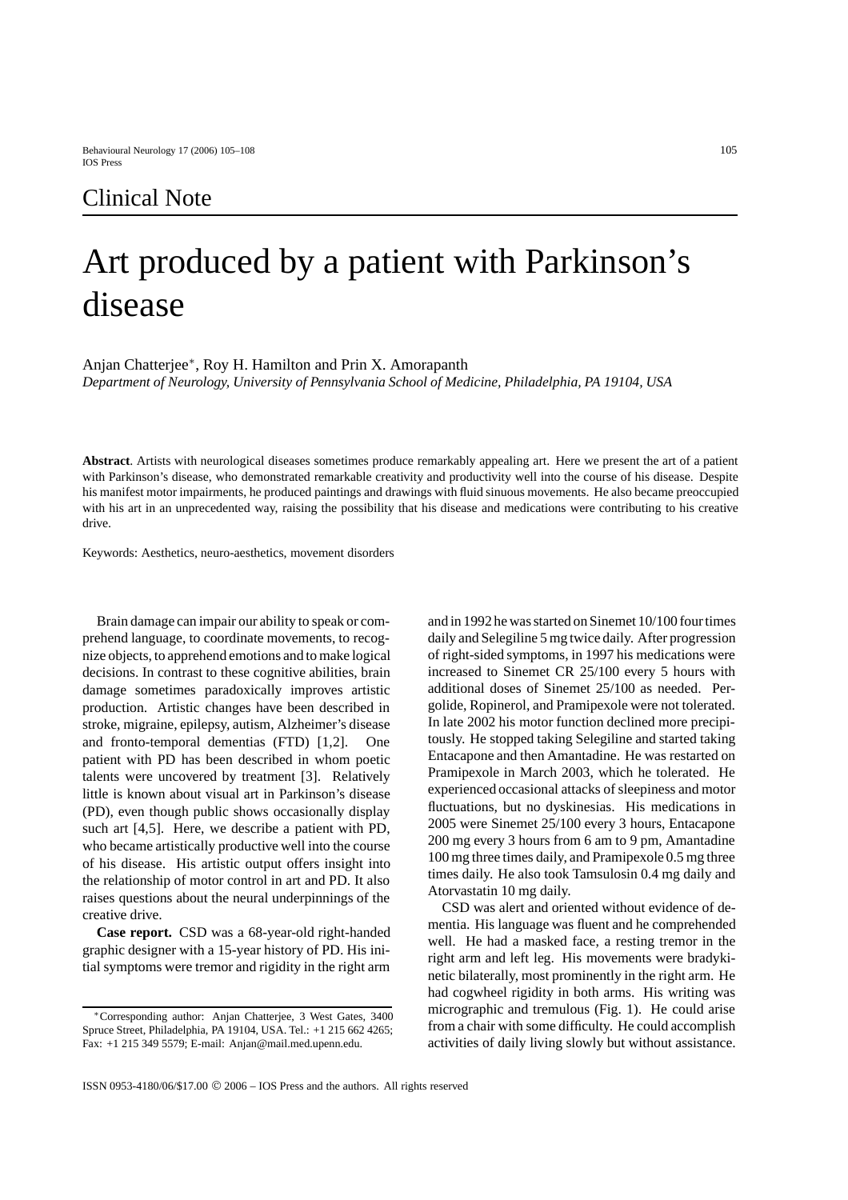# Art produced by a patient with Parkinson's disease

Anjan Chatterjee∗, Roy H. Hamilton and Prin X. Amorapanth

*Department of Neurology, University of Pennsylvania School of Medicine, Philadelphia, PA 19104, USA*

**Abstract**. Artists with neurological diseases sometimes produce remarkably appealing art. Here we present the art of a patient with Parkinson's disease, who demonstrated remarkable creativity and productivity well into the course of his disease. Despite his manifest motor impairments, he produced paintings and drawings with fluid sinuous movements. He also became preoccupied with his art in an unprecedented way, raising the possibility that his disease and medications were contributing to his creative drive.

Keywords: Aesthetics, neuro-aesthetics, movement disorders

Brain damage can impair our ability to speak or comprehend language, to coordinate movements, to recognize objects, to apprehend emotions and to make logical decisions. In contrast to these cognitive abilities, brain damage sometimes paradoxically improves artistic production. Artistic changes have been described in stroke, migraine, epilepsy, autism, Alzheimer's disease and fronto-temporal dementias (FTD) [1,2]. One patient with PD has been described in whom poetic talents were uncovered by treatment [3]. Relatively little is known about visual art in Parkinson's disease (PD), even though public shows occasionally display such art [4,5]. Here, we describe a patient with PD, who became artistically productive well into the course of his disease. His artistic output offers insight into the relationship of motor control in art and PD. It also raises questions about the neural underpinnings of the creative drive.

**Case report.** CSD was a 68-year-old right-handed graphic designer with a 15-year history of PD. His initial symptoms were tremor and rigidity in the right arm

and in 1992 he was started on Sinemet 10/100 four times daily and Selegiline 5 mg twice daily. After progression of right-sided symptoms, in 1997 his medications were increased to Sinemet CR 25/100 every 5 hours with additional doses of Sinemet 25/100 as needed. Pergolide, Ropinerol, and Pramipexole were not tolerated. In late 2002 his motor function declined more precipitously. He stopped taking Selegiline and started taking Entacapone and then Amantadine. He was restarted on Pramipexole in March 2003, which he tolerated. He experienced occasional attacks of sleepiness and motor fluctuations, but no dyskinesias. His medications in 2005 were Sinemet 25/100 every 3 hours, Entacapone 200 mg every 3 hours from 6 am to 9 pm, Amantadine 100 mg three times daily, and Pramipexole 0.5 mg three times daily. He also took Tamsulosin 0.4 mg daily and Atorvastatin 10 mg daily.

CSD was alert and oriented without evidence of dementia. His language was fluent and he comprehended well. He had a masked face, a resting tremor in the right arm and left leg. His movements were bradykinetic bilaterally, most prominently in the right arm. He had cogwheel rigidity in both arms. His writing was micrographic and tremulous (Fig. 1). He could arise from a chair with some difficulty. He could accomplish activities of daily living slowly but without assistance.

<sup>∗</sup>Corresponding author: Anjan Chatterjee, 3 West Gates, 3400 Spruce Street, Philadelphia, PA 19104, USA. Tel.: +1 215 662 4265; Fax: +1 215 349 5579; E-mail: Anjan@mail.med.upenn.edu.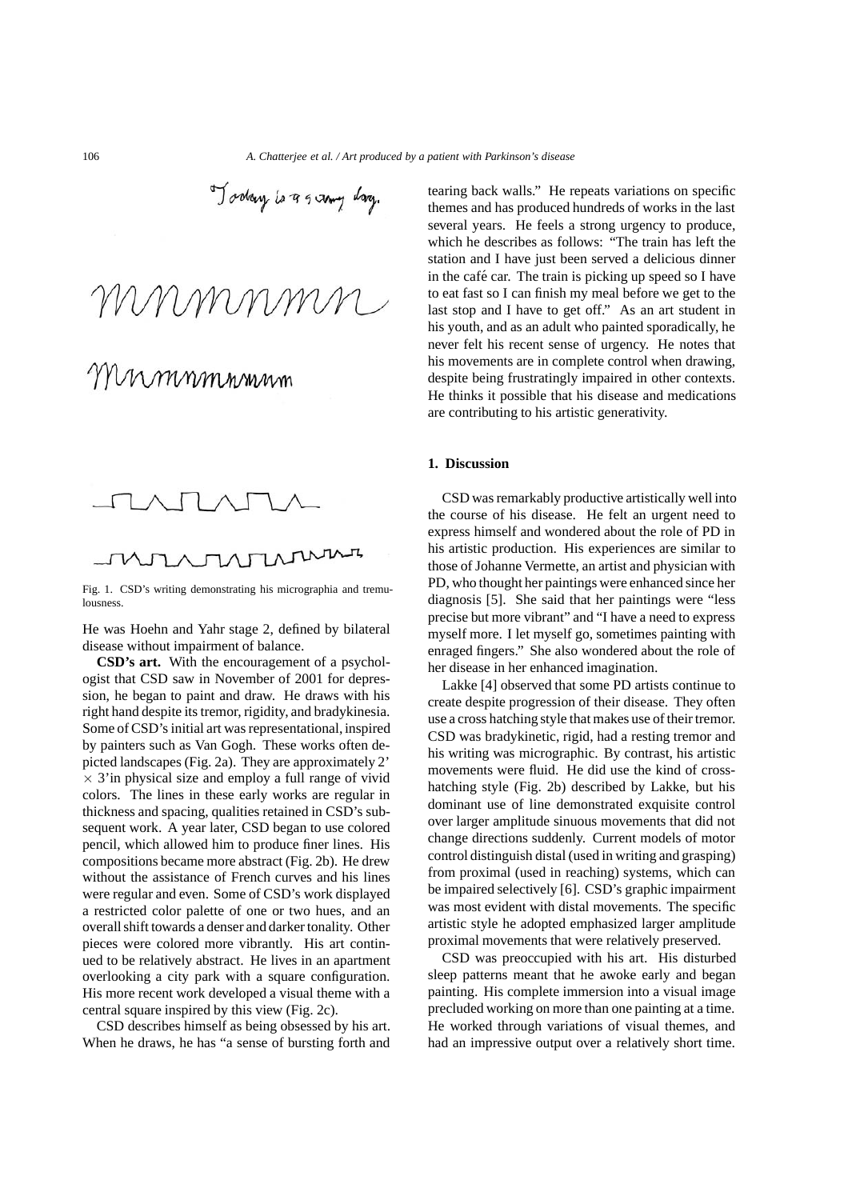Today is a samy day.

MMMMMM

Fig. 1. CSD's writing demonstrating his micrographia and tremulousness.

He was Hoehn and Yahr stage 2, defined by bilateral disease without impairment of balance.

**CSD's art.** With the encouragement of a psychologist that CSD saw in November of 2001 for depression, he began to paint and draw. He draws with his right hand despite its tremor, rigidity, and bradykinesia. Some of CSD's initial art was representational, inspired by painters such as Van Gogh. These works often depicted landscapes (Fig. 2a). They are approximately 2' *×* 3'in physical size and employ a full range of vivid colors. The lines in these early works are regular in thickness and spacing, qualities retained in CSD's subsequent work. A year later, CSD began to use colored pencil, which allowed him to produce finer lines. His compositions became more abstract (Fig. 2b). He drew without the assistance of French curves and his lines were regular and even. Some of CSD's work displayed a restricted color palette of one or two hues, and an overall shift towards a denser and darker tonality. Other pieces were colored more vibrantly. His art continued to be relatively abstract. He lives in an apartment overlooking a city park with a square configuration. His more recent work developed a visual theme with a central square inspired by this view (Fig. 2c).

CSD describes himself as being obsessed by his art. When he draws, he has "a sense of bursting forth and tearing back walls." He repeats variations on specific themes and has produced hundreds of works in the last several years. He feels a strong urgency to produce, which he describes as follows: "The train has left the station and I have just been served a delicious dinner in the café car. The train is picking up speed so I have to eat fast so I can finish my meal before we get to the last stop and I have to get off." As an art student in his youth, and as an adult who painted sporadically, he never felt his recent sense of urgency. He notes that his movements are in complete control when drawing, despite being frustratingly impaired in other contexts. He thinks it possible that his disease and medications are contributing to his artistic generativity.

### **1. Discussion**

CSD was remarkably productive artistically well into the course of his disease. He felt an urgent need to express himself and wondered about the role of PD in his artistic production. His experiences are similar to those of Johanne Vermette, an artist and physician with PD, who thought her paintings were enhanced since her diagnosis [5]. She said that her paintings were "less precise but more vibrant" and "I have a need to express myself more. I let myself go, sometimes painting with enraged fingers." She also wondered about the role of her disease in her enhanced imagination.

Lakke [4] observed that some PD artists continue to create despite progression of their disease. They often use a cross hatching style that makes use of their tremor. CSD was bradykinetic, rigid, had a resting tremor and his writing was micrographic. By contrast, his artistic movements were fluid. He did use the kind of crosshatching style (Fig. 2b) described by Lakke, but his dominant use of line demonstrated exquisite control over larger amplitude sinuous movements that did not change directions suddenly. Current models of motor control distinguish distal (used in writing and grasping) from proximal (used in reaching) systems, which can be impaired selectively [6]. CSD's graphic impairment was most evident with distal movements. The specific artistic style he adopted emphasized larger amplitude proximal movements that were relatively preserved.

CSD was preoccupied with his art. His disturbed sleep patterns meant that he awoke early and began painting. His complete immersion into a visual image precluded working on more than one painting at a time. He worked through variations of visual themes, and had an impressive output over a relatively short time.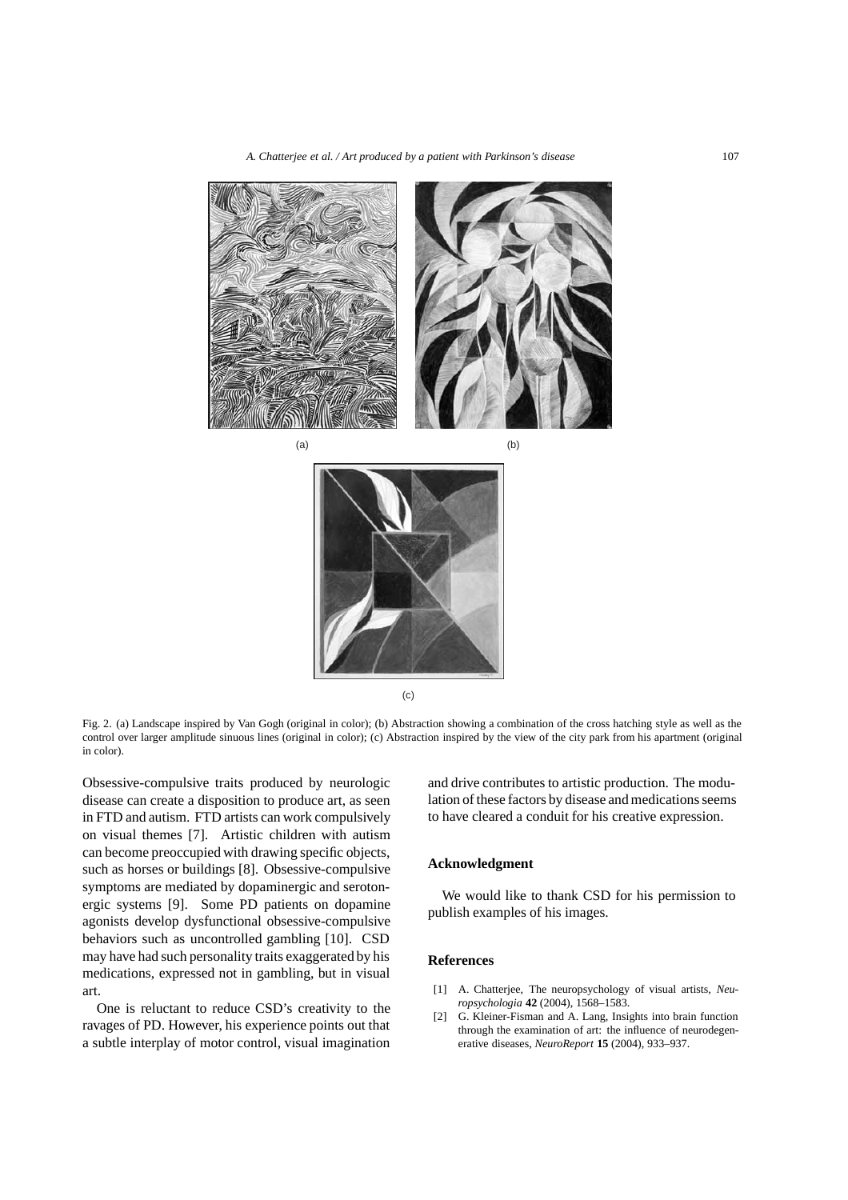

Fig. 2. (a) Landscape inspired by Van Gogh (original in color); (b) Abstraction showing a combination of the cross hatching style as well as the control over larger amplitude sinuous lines (original in color); (c) Abstraction inspired by the view of the city park from his apartment (original in color).

(c)

Obsessive-compulsive traits produced by neurologic disease can create a disposition to produce art, as seen in FTD and autism. FTD artists can work compulsively on visual themes [7]. Artistic children with autism can become preoccupied with drawing specific objects, such as horses or buildings [8]. Obsessive-compulsive symptoms are mediated by dopaminergic and serotonergic systems [9]. Some PD patients on dopamine agonists develop dysfunctional obsessive-compulsive behaviors such as uncontrolled gambling [10]. CSD may have had such personality traits exaggerated by his medications, expressed not in gambling, but in visual art.

One is reluctant to reduce CSD's creativity to the ravages of PD. However, his experience points out that a subtle interplay of motor control, visual imagination and drive contributes to artistic production. The modulation of these factors by disease and medications seems to have cleared a conduit for his creative expression.

### **Acknowledgment**

We would like to thank CSD for his permission to publish examples of his images.

## **References**

- [1] A. Chatterjee, The neuropsychology of visual artists, *Neuropsychologia* **42** (2004), 1568–1583.
- [2] G. Kleiner-Fisman and A. Lang, Insights into brain function through the examination of art: the influence of neurodegenerative diseases, *NeuroReport* **15** (2004), 933–937.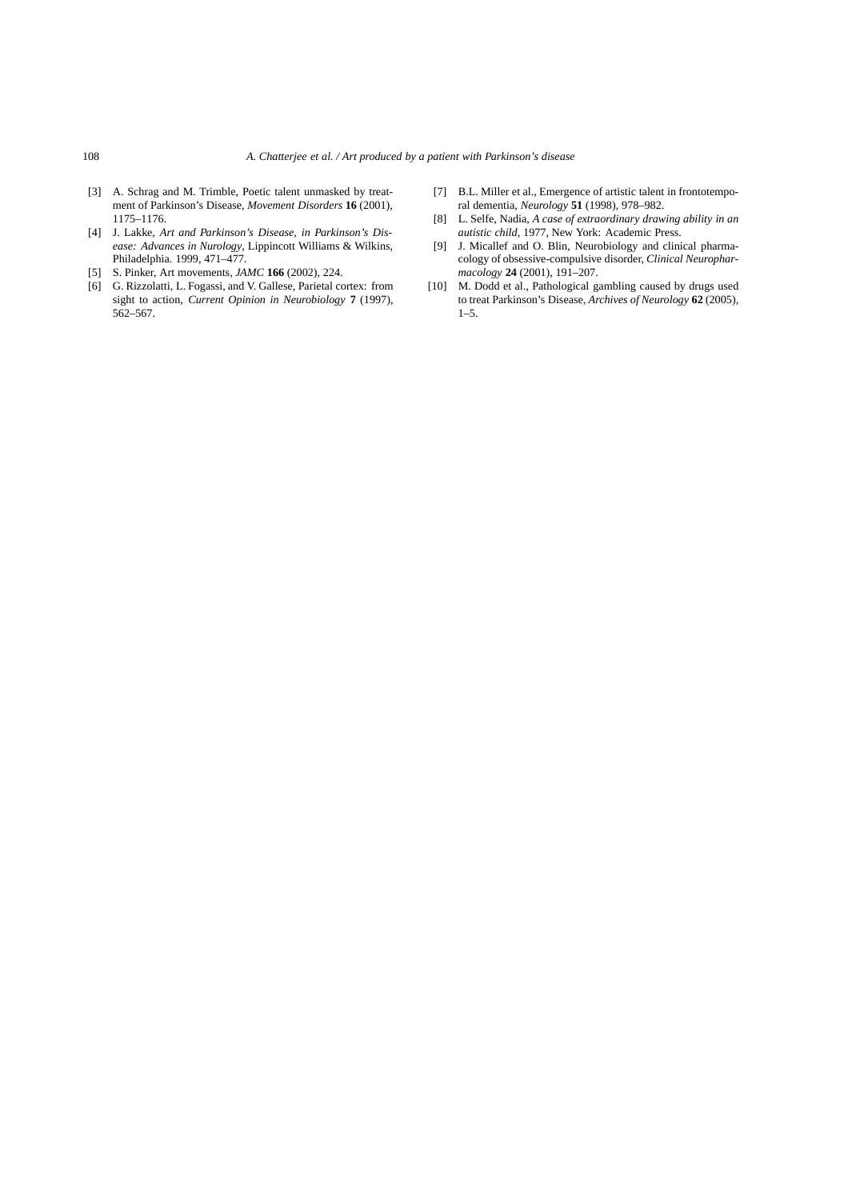- [3] A. Schrag and M. Trimble, Poetic talent unmasked by treatment of Parkinson's Disease, *Movement Disorders* **16** (2001), 1175–1176.
- [4] J. Lakke, *Art and Parkinson's Disease, in Parkinson's Disease: Advances in Nurology*, Lippincott Williams & Wilkins, Philadelphia. 1999, 471–477.
- [5] S. Pinker, Art movements, *JAMC* **166** (2002), 224.
- [6] G. Rizzolatti, L. Fogassi, and V. Gallese, Parietal cortex: from sight to action, *Current Opinion in Neurobiology* **7** (1997), 562–567.
- [7] B.L. Miller et al., Emergence of artistic talent in frontotemporal dementia, *Neurology* **51** (1998), 978–982.
- [8] L. Selfe, Nadia, *A case of extraordinary drawing ability in an autistic child,* 1977, New York: Academic Press.
- [9] J. Micallef and O. Blin, Neurobiology and clinical pharmacology of obsessive-compulsive disorder, *Clinical Neuropharmacology* **24** (2001), 191–207.
- [10] M. Dodd et al., Pathological gambling caused by drugs used to treat Parkinson's Disease, *Archives of Neurology* **62** (2005),  $1-5$ .